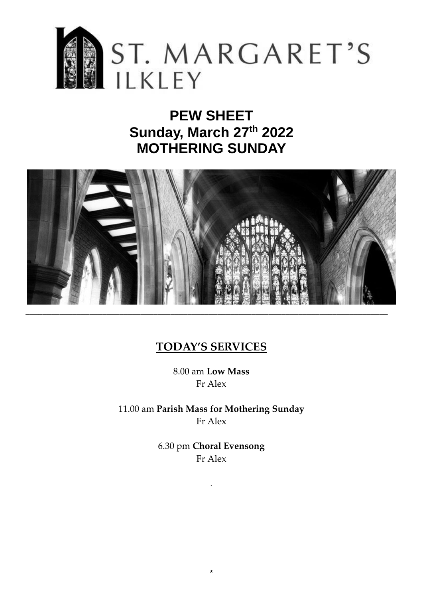

# **PEW SHEET Sunday, March 27th 2022 MOTHERING SUNDAY**



# **TODAY'S SERVICES**

8.00 am **Low Mass** Fr Alex

11.00 am **Parish Mass for Mothering Sunday** Fr Alex

> 6.30 pm **Choral Evensong** Fr Alex

> > *.*

\*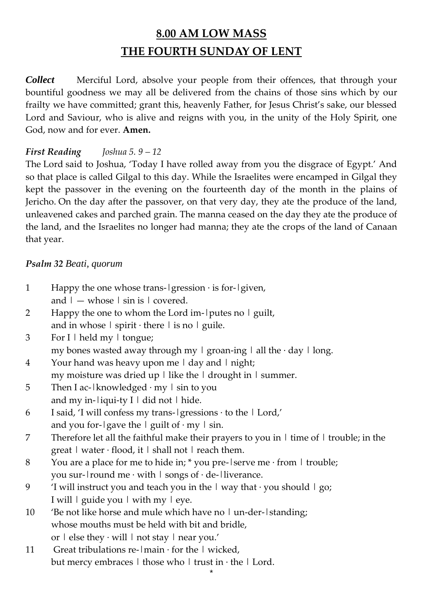# **8.00 AM LOW MASS THE FOURTH SUNDAY OF LENT**

*Collect* Merciful Lord, absolve your people from their offences, that through your bountiful goodness we may all be delivered from the chains of those sins which by our frailty we have committed; grant this, heavenly Father, for Jesus Christ's sake, our blessed Lord and Saviour, who is alive and reigns with you, in the unity of the Holy Spirit, one God, now and for ever. **Amen.**

## *First Reading Joshua 5. 9 – 12*

The Lord said to Joshua, 'Today I have rolled away from you the disgrace of Egypt.' And so that place is called Gilgal to this day. While the Israelites were encamped in Gilgal they kept the passover in the evening on the fourteenth day of the month in the plains of Jericho. On the day after the passover, on that very day, they ate the produce of the land, unleavened cakes and parched grain. The manna ceased on the day they ate the produce of the land, and the Israelites no longer had manna; they ate the crops of the land of Canaan that year.

### *Psalm 32 Beati, quorum*

| $\mathbf{1}$   | Happy the one whose trans- $ $ gression $\cdot$ is for- $ $ given,                                  |
|----------------|-----------------------------------------------------------------------------------------------------|
|                | and $ -$ whose $  \sin is  $ covered.                                                               |
| 2              | Happy the one to whom the Lord im- putes no   guilt,                                                |
|                | and in whose $ $ spirit $\cdot$ there $ $ is no $ $ guile.                                          |
| 3              | For I   held my   tongue;                                                                           |
|                | my bones wasted away through my $\mid$ groan-ing $\mid$ all the $\cdot$ day $\mid$ long.            |
| $\overline{4}$ | Your hand was heavy upon me   day and   night;                                                      |
|                | my moisture was dried up $ $ like the $ $ drought in $ $ summer.                                    |
| 5              | Then I ac- $\vert$ knowledged $\cdot$ my $\vert$ sin to you                                         |
|                | and my in-liqui-ty $I \mid$ did not $\mid$ hide.                                                    |
| 6              | I said, 'I will confess my trans- gressions · to the   Lord,'                                       |
|                | and you for- $\lg$ ave the $\lg$ guilt of $\cdot$ my $\lg$ in.                                      |
| 7              | Therefore let all the faithful make their prayers to you in $\vert$ time of $\vert$ trouble; in the |
|                | great $\vert$ water $\cdot$ flood, it $\vert$ shall not $\vert$ reach them.                         |
| 8              | You are a place for me to hide in; * you pre- serve me $\cdot$ from   trouble;                      |
|                | you sur-1 round me $\cdot$ with 1 songs of $\cdot$ de-1 liverance.                                  |
| 9              | 'I will instruct you and teach you in the $\vert$ way that $\cdot$ you should $\vert$ go;           |
|                | I will   guide you   with my   eye.                                                                 |
| 10             | 'Be not like horse and mule which have no   un-der-   standing;                                     |
|                | whose mouths must be held with bit and bridle,                                                      |
|                | or   else they · will   not stay   near you.'                                                       |
| 11             | Great tribulations re- $ \text{main} \cdot \text{for the } \vert$ wicked,                           |
|                | but mercy embraces $\vert$ those who $\vert$ trust in $\cdot$ the $\vert$ Lord.                     |
|                |                                                                                                     |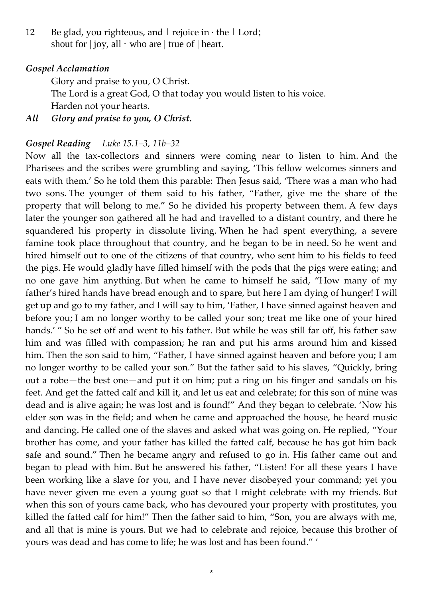12 Be glad, you righteous, and  $|$  rejoice in  $\cdot$  the  $|$  Lord; shout for  $|$  joy, all  $\cdot$  who are  $|$  true of  $|$  heart.

#### *Gospel Acclamation*

Glory and praise to you, O Christ.

The Lord is a great God, O that today you would listen to his voice. Harden not your hearts.

*All Glory and praise to you, O Christ.*

#### *Gospel Reading Luke 15.1–3, 11b–32*

Now all the tax-collectors and sinners were coming near to listen to him. And the Pharisees and the scribes were grumbling and saying, 'This fellow welcomes sinners and eats with them.' So he told them this parable: Then Jesus said, 'There was a man who had two sons. The younger of them said to his father, "Father, give me the share of the property that will belong to me." So he divided his property between them. A few days later the younger son gathered all he had and travelled to a distant country, and there he squandered his property in dissolute living. When he had spent everything, a severe famine took place throughout that country, and he began to be in need. So he went and hired himself out to one of the citizens of that country, who sent him to his fields to feed the pigs. He would gladly have filled himself with the pods that the pigs were eating; and no one gave him anything. But when he came to himself he said, "How many of my father's hired hands have bread enough and to spare, but here I am dying of hunger! I will get up and go to my father, and I will say to him, 'Father, I have sinned against heaven and before you; I am no longer worthy to be called your son; treat me like one of your hired hands.' " So he set off and went to his father. But while he was still far off, his father saw him and was filled with compassion; he ran and put his arms around him and kissed him. Then the son said to him, "Father, I have sinned against heaven and before you; I am no longer worthy to be called your son." But the father said to his slaves, "Quickly, bring out a robe—the best one—and put it on him; put a ring on his finger and sandals on his feet. And get the fatted calf and kill it, and let us eat and celebrate; for this son of mine was dead and is alive again; he was lost and is found!" And they began to celebrate. 'Now his elder son was in the field; and when he came and approached the house, he heard music and dancing. He called one of the slaves and asked what was going on. He replied, "Your brother has come, and your father has killed the fatted calf, because he has got him back safe and sound." Then he became angry and refused to go in. His father came out and began to plead with him. But he answered his father, "Listen! For all these years I have been working like a slave for you, and I have never disobeyed your command; yet you have never given me even a young goat so that I might celebrate with my friends. But when this son of yours came back, who has devoured your property with prostitutes, you killed the fatted calf for him!" Then the father said to him, "Son, you are always with me, and all that is mine is yours. But we had to celebrate and rejoice, because this brother of yours was dead and has come to life; he was lost and has been found." '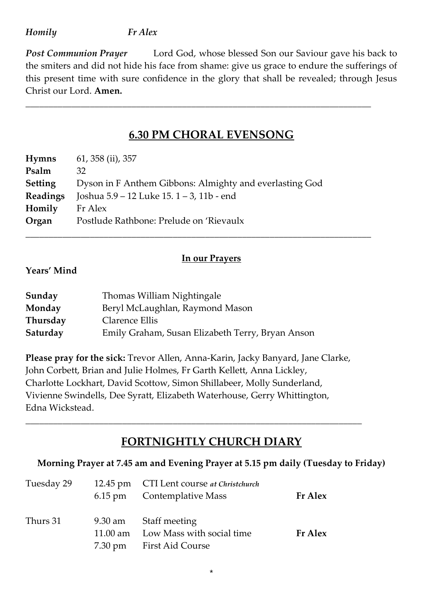#### *Homily Fr Alex*

**Post Communion Prayer** Lord God, whose blessed Son our Saviour gave his back to the smiters and did not hide his face from shame: give us grace to endure the sufferings of this present time with sure confidence in the glory that shall be revealed; through Jesus Christ our Lord. **Amen.**

# **6.30 PM CHORAL EVENSONG**

*\_\_\_\_\_\_\_\_\_\_\_\_\_\_\_\_\_\_\_\_\_\_\_\_\_\_\_\_\_\_\_\_\_\_\_\_\_\_\_\_\_\_\_\_\_\_\_\_\_\_\_\_\_\_\_\_\_\_\_\_\_\_\_\_\_\_\_\_\_\_\_\_\_\_\_*

| <b>Hymns</b>    | 61, 358 (ii), 357                                       |
|-----------------|---------------------------------------------------------|
| Psalm           | 32                                                      |
| <b>Setting</b>  | Dyson in F Anthem Gibbons: Almighty and everlasting God |
| <b>Readings</b> | Joshua 5.9 – 12 Luke 15. 1 – 3, 11b - end               |
| Homily          | Fr Alex                                                 |
| Organ           | Postlude Rathbone: Prelude on 'Rievaulx                 |
|                 |                                                         |

### **In our Prayers**

#### **Years' Mind**

| Sunday   | Thomas William Nightingale                       |
|----------|--------------------------------------------------|
| Monday   | Beryl McLaughlan, Raymond Mason                  |
| Thursday | Clarence Ellis                                   |
| Saturday | Emily Graham, Susan Elizabeth Terry, Bryan Anson |

**Please pray for the sick:** Trevor Allen, Anna-Karin, Jacky Banyard, Jane Clarke, John Corbett, Brian and Julie Holmes, Fr Garth Kellett, Anna Lickley, Charlotte Lockhart, David Scottow, Simon Shillabeer, Molly Sunderland, Vivienne Swindells, Dee Syratt, Elizabeth Waterhouse, Gerry Whittington, Edna Wickstead.

*\_\_\_\_\_\_\_\_\_\_\_\_\_\_\_\_\_\_\_\_\_\_\_\_\_\_\_\_\_\_\_\_\_\_\_\_\_\_\_\_\_\_\_\_\_\_\_\_\_\_\_\_\_\_\_\_\_\_\_\_\_\_\_\_\_\_\_\_\_\_\_\_\_*

# **FORTNIGHTLY CHURCH DIARY**

### **Morning Prayer at 7.45 am and Evening Prayer at 5.15 pm daily (Tuesday to Friday)**

\*

| Tuesday 29 | 12.45 pm CTI Lent course at Christchurch<br>6.15 pm Contemplative Mass                  | <b>Fr</b> Alex |
|------------|-----------------------------------------------------------------------------------------|----------------|
| Thurs 31   | 9.30 am Staff meeting<br>11.00 am Low Mass with social time<br>7.30 pm First Aid Course | <b>Fr</b> Alex |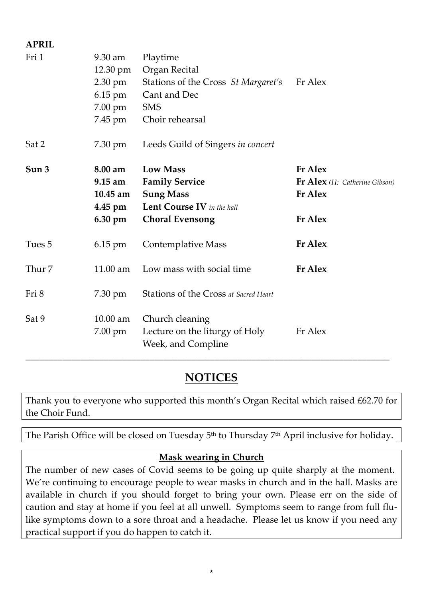| <b>APRIL</b> |            |                                       |                               |
|--------------|------------|---------------------------------------|-------------------------------|
| Fri 1        | 9.30 am    | Playtime                              |                               |
|              | 12.30 pm   | Organ Recital                         |                               |
|              | 2.30 pm    | Stations of the Cross St Margaret's   | Fr Alex                       |
|              | 6.15 pm    | Cant and Dec                          |                               |
|              | 7.00 pm    | <b>SMS</b>                            |                               |
|              | 7.45 pm    | Choir rehearsal                       |                               |
| Sat 2        | 7.30 pm    | Leeds Guild of Singers in concert     |                               |
| Sun 3        | 8.00 am    | <b>Low Mass</b>                       | <b>Fr Alex</b>                |
|              | 9.15 am    | <b>Family Service</b>                 | Fr Alex (H: Catherine Gibson) |
|              | $10.45$ am | <b>Sung Mass</b>                      | <b>Fr Alex</b>                |
|              | 4.45 pm    | Lent Course IV in the hall            |                               |
|              | 6.30 pm    | <b>Choral Evensong</b>                | <b>Fr</b> Alex                |
| Tues 5       | 6.15 pm    | <b>Contemplative Mass</b>             | <b>Fr</b> Alex                |
| Thur 7       | 11.00 am   | Low mass with social time             | <b>Fr Alex</b>                |
| Fri 8        | 7.30 pm    | Stations of the Cross at Sacred Heart |                               |
| Sat 9        | $10.00$ am | Church cleaning                       |                               |
|              | 7.00 pm    | Lecture on the liturgy of Holy        | Fr Alex                       |
|              |            | Week, and Compline                    |                               |

# **NOTICES**

Thank you to everyone who supported this month's Organ Recital which raised £62.70 for the Choir Fund.

The Parish Office will be closed on Tuesday 5<sup>th</sup> to Thursday 7<sup>th</sup> April inclusive for holiday.

## **Mask wearing in Church**

The number of new cases of Covid seems to be going up quite sharply at the moment. We're continuing to encourage people to wear masks in church and in the hall. Masks are available in church if you should forget to bring your own. Please err on the side of caution and stay at home if you feel at all unwell. Symptoms seem to range from full flulike symptoms down to a sore throat and a headache. Please let us know if you need any practical support if you do happen to catch it.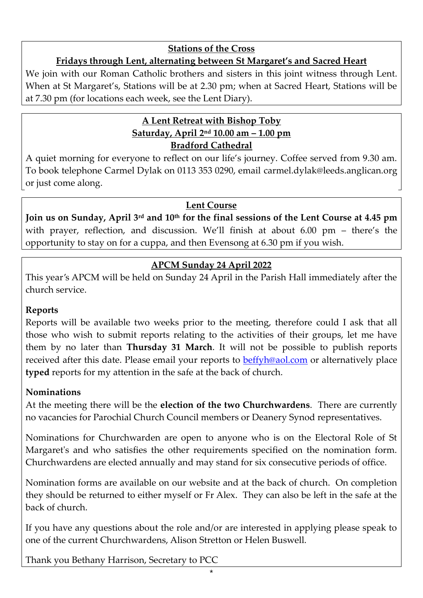### **Stations of the Cross**

# **Fridays through Lent, alternating between St Margaret's and Sacred Heart**

We join with our Roman Catholic brothers and sisters in this joint witness through Lent. When at St Margaret's, Stations will be at 2.30 pm; when at Sacred Heart, Stations will be at 7.30 pm (for locations each week, see the Lent Diary).

# **A Lent Retreat with Bishop Toby Saturday, April 2nd 10.00 am – 1.00 pm Bradford Cathedral**

A quiet morning for everyone to reflect on our life's journey. Coffee served from 9.30 am. To book telephone Carmel Dylak on 0113 353 0290, email [carmel.dylak@leeds.anglican.org](mailto:carmel.dylak@leeds.anglican.org) or just come along.

## **Lent Course**

**Join us on Sunday, April 3rd and 10th for the final sessions of the Lent Course at 4.45 pm** with prayer, reflection, and discussion. We'll finish at about 6.00 pm – there's the opportunity to stay on for a cuppa, and then Evensong at 6.30 pm if you wish.

# **APCM Sunday 24 April 2022**

This year's APCM will be held on Sunday 24 April in the Parish Hall immediately after the church service.

### **Reports**

Reports will be available two weeks prior to the meeting, therefore could I ask that all those who wish to submit reports relating to the activities of their groups, let me have them by no later than **Thursday 31 March**. It will not be possible to publish reports received after this date. Please email your reports to **beffyh@aol.com** or alternatively place **typed** reports for my attention in the safe at the back of church.

## **Nominations**

At the meeting there will be the **election of the two Churchwardens**. There are currently no vacancies for Parochial Church Council members or Deanery Synod representatives.

Nominations for Churchwarden are open to anyone who is on the Electoral Role of St Margaret's and who satisfies the other requirements specified on the nomination form. Churchwardens are elected annually and may stand for six consecutive periods of office.

Nomination forms are available on our website and at the back of church. On completion they should be returned to either myself or Fr Alex. They can also be left in the safe at the back of church.

If you have any questions about the role and/or are interested in applying please speak to one of the current Churchwardens, Alison Stretton or Helen Buswell.

Thank you Bethany Harrison, Secretary to PCC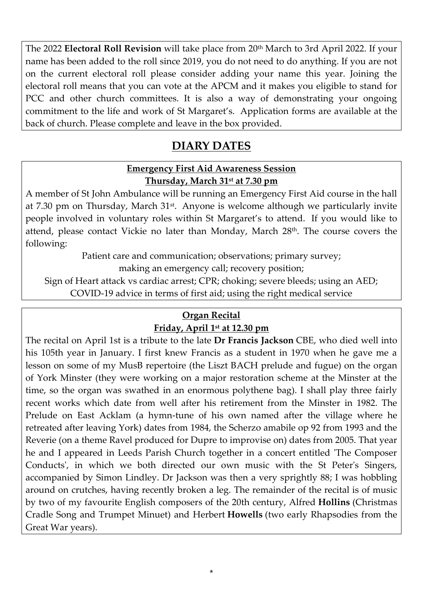The 2022 **Electoral Roll Revision** will take place from 20<sup>th</sup> March to 3rd April 2022. If your name has been added to the roll since 2019, you do not need to do anything. If you are not on the current electoral roll please consider adding your name this year. Joining the electoral roll means that you can vote at the APCM and it makes you eligible to stand for PCC and other church committees. It is also a way of demonstrating your ongoing commitment to the life and work of St Margaret's. Application forms are available at the back of church. Please complete and leave in the box provided.

# **DIARY DATES**

### **Emergency First Aid Awareness Session Thursday, March 31st at 7.30 pm**

A member of St John Ambulance will be running an Emergency First Aid course in the hall at 7.30 pm on Thursday, March 31<sup>st</sup>. Anyone is welcome although we particularly invite people involved in voluntary roles within St Margaret's to attend. If you would like to attend, please contact Vickie no later than Monday, March 28th. The course covers the following:

Patient care and communication; observations; primary survey;

making an emergency call; recovery position;

Sign of Heart attack vs cardiac arrest; CPR; choking; severe bleeds; using an AED;

COVID-19 advice in terms of first aid; using the right medical service

# **Organ Recital**

### **Friday, April 1st at 12.30 pm**

The recital on April 1st is a tribute to the late **Dr Francis Jackson** CBE, who died well into his 105th year in January. I first knew Francis as a student in 1970 when he gave me a lesson on some of my MusB repertoire (the Liszt BACH prelude and fugue) on the organ of York Minster (they were working on a major restoration scheme at the Minster at the time, so the organ was swathed in an enormous polythene bag). I shall play three fairly recent works which date from well after his retirement from the Minster in 1982. The Prelude on East Acklam (a hymn-tune of his own named after the village where he retreated after leaving York) dates from 1984, the Scherzo amabile op 92 from 1993 and the Reverie (on a theme Ravel produced for Dupre to improvise on) dates from 2005. That year he and I appeared in Leeds Parish Church together in a concert entitled 'The Composer Conducts', in which we both directed our own music with the St Peter's Singers, accompanied by Simon Lindley. Dr Jackson was then a very sprightly 88; I was hobbling around on crutches, having recently broken a leg. The remainder of the recital is of music by two of my favourite English composers of the 20th century, Alfred **Hollins** (Christmas Cradle Song and Trumpet Minuet) and Herbert **Howells** (two early Rhapsodies from the Great War years).